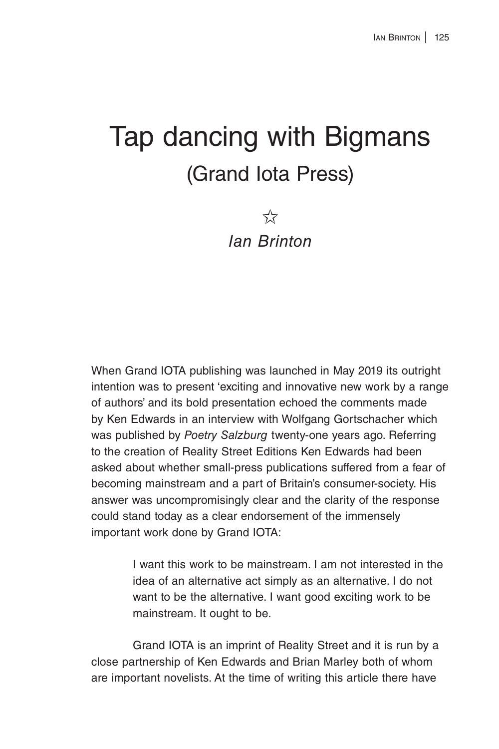## Tap dancing with Bigmans (Grand Iota Press)

 $5\frac{1}{2}$ *Ian Brinton*

When Grand IOTA publishing was launched in May 2019 its outright intention was to present 'exciting and innovative new work by a range of authors' and its bold presentation echoed the comments made by Ken Edwards in an interview with Wolfgang Gortschacher which was published by *Poetry Salzburg* twenty-one years ago. Referring to the creation of Reality Street Editions Ken Edwards had been asked about whether small-press publications suffered from a fear of becoming mainstream and a part of Britain's consumer-society. His answer was uncompromisingly clear and the clarity of the response could stand today as a clear endorsement of the immensely important work done by Grand IOTA:

> I want this work to be mainstream. I am not interested in the idea of an alternative act simply as an alternative. I do not want to be the alternative. I want good exciting work to be mainstream. It ought to be.

Grand IOTA is an imprint of Reality Street and it is run by a close partnership of Ken Edwards and Brian Marley both of whom are important novelists. At the time of writing this article there have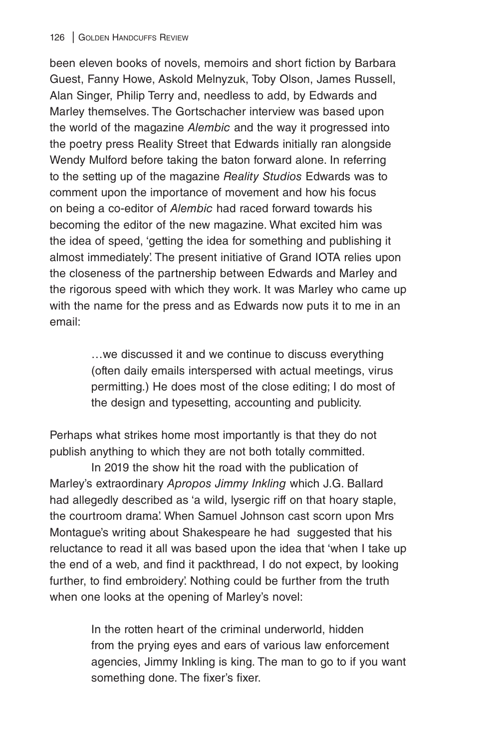been eleven books of novels, memoirs and short fiction by Barbara Guest, Fanny Howe, Askold Melnyzuk, Toby Olson, James Russell, Alan Singer, Philip Terry and, needless to add, by Edwards and Marley themselves. The Gortschacher interview was based upon the world of the magazine *Alembic* and the way it progressed into the poetry press Reality Street that Edwards initially ran alongside Wendy Mulford before taking the baton forward alone. In referring to the setting up of the magazine *Reality Studios* Edwards was to comment upon the importance of movement and how his focus on being a co-editor of *Alembic* had raced forward towards his becoming the editor of the new magazine. What excited him was the idea of speed, 'getting the idea for something and publishing it almost immediately'. The present initiative of Grand IOTA relies upon the closeness of the partnership between Edwards and Marley and the rigorous speed with which they work. It was Marley who came up with the name for the press and as Edwards now puts it to me in an email:

> …we discussed it and we continue to discuss everything (often daily emails interspersed with actual meetings, virus permitting.) He does most of the close editing; I do most of the design and typesetting, accounting and publicity.

Perhaps what strikes home most importantly is that they do not publish anything to which they are not both totally committed.

In 2019 the show hit the road with the publication of Marley's extraordinary *Apropos Jimmy Inkling* which J.G. Ballard had allegedly described as 'a wild, lysergic riff on that hoary staple, the courtroom drama'. When Samuel Johnson cast scorn upon Mrs Montague's writing about Shakespeare he had suggested that his reluctance to read it all was based upon the idea that 'when I take up the end of a web, and find it packthread, I do not expect, by looking further, to find embroidery'. Nothing could be further from the truth when one looks at the opening of Marley's novel:

> In the rotten heart of the criminal underworld, hidden from the prying eyes and ears of various law enforcement agencies, Jimmy Inkling is king. The man to go to if you want something done. The fixer's fixer.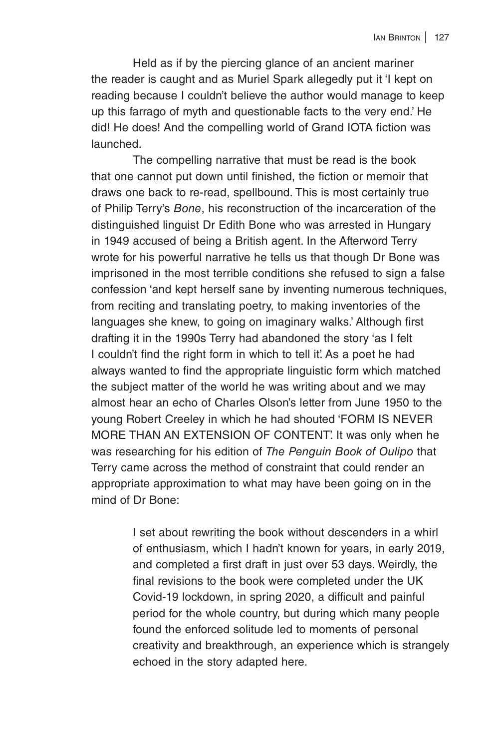Held as if by the piercing glance of an ancient mariner the reader is caught and as Muriel Spark allegedly put it 'I kept on reading because I couldn't believe the author would manage to keep up this farrago of myth and questionable facts to the very end.' He did! He does! And the compelling world of Grand IOTA fiction was launched.

The compelling narrative that must be read is the book that one cannot put down until finished, the fiction or memoir that draws one back to re-read, spellbound. This is most certainly true of Philip Terry's *Bone*, his reconstruction of the incarceration of the distinguished linguist Dr Edith Bone who was arrested in Hungary in 1949 accused of being a British agent. In the Afterword Terry wrote for his powerful narrative he tells us that though Dr Bone was imprisoned in the most terrible conditions she refused to sign a false confession 'and kept herself sane by inventing numerous techniques, from reciting and translating poetry, to making inventories of the languages she knew, to going on imaginary walks.' Although first drafting it in the 1990s Terry had abandoned the story 'as I felt I couldn't find the right form in which to tell it'. As a poet he had always wanted to find the appropriate linguistic form which matched the subject matter of the world he was writing about and we may almost hear an echo of Charles Olson's letter from June 1950 to the young Robert Creeley in which he had shouted 'FORM IS NEVER MORE THAN AN EXTENSION OF CONTENT'. It was only when he was researching for his edition of *The Penguin Book of Oulipo* that Terry came across the method of constraint that could render an appropriate approximation to what may have been going on in the mind of Dr Bone:

> I set about rewriting the book without descenders in a whirl of enthusiasm, which I hadn't known for years, in early 2019, and completed a first draft in just over 53 days. Weirdly, the final revisions to the book were completed under the UK Covid-19 lockdown, in spring 2020, a difficult and painful period for the whole country, but during which many people found the enforced solitude led to moments of personal creativity and breakthrough, an experience which is strangely echoed in the story adapted here.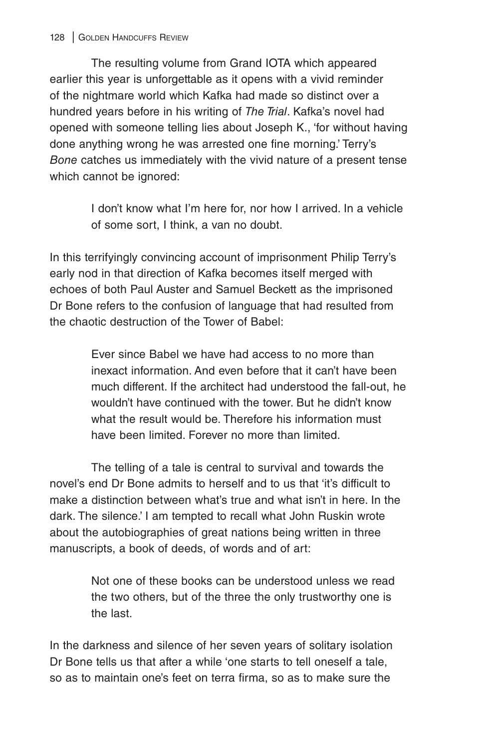The resulting volume from Grand IOTA which appeared earlier this year is unforgettable as it opens with a vivid reminder of the nightmare world which Kafka had made so distinct over a hundred years before in his writing of *The Trial*. Kafka's novel had opened with someone telling lies about Joseph K., 'for without having done anything wrong he was arrested one fine morning.' Terry's *Bone* catches us immediately with the vivid nature of a present tense which cannot be ignored:

> I don't know what I'm here for, nor how I arrived. In a vehicle of some sort, I think, a van no doubt.

In this terrifyingly convincing account of imprisonment Philip Terry's early nod in that direction of Kafka becomes itself merged with echoes of both Paul Auster and Samuel Beckett as the imprisoned Dr Bone refers to the confusion of language that had resulted from the chaotic destruction of the Tower of Babel:

> Ever since Babel we have had access to no more than inexact information. And even before that it can't have been much different. If the architect had understood the fall-out, he wouldn't have continued with the tower. But he didn't know what the result would be. Therefore his information must have been limited. Forever no more than limited.

The telling of a tale is central to survival and towards the novel's end Dr Bone admits to herself and to us that 'it's difficult to make a distinction between what's true and what isn't in here. In the dark. The silence.' I am tempted to recall what John Ruskin wrote about the autobiographies of great nations being written in three manuscripts, a book of deeds, of words and of art:

> Not one of these books can be understood unless we read the two others, but of the three the only trustworthy one is the last.

In the darkness and silence of her seven years of solitary isolation Dr Bone tells us that after a while 'one starts to tell oneself a tale, so as to maintain one's feet on terra firma, so as to make sure the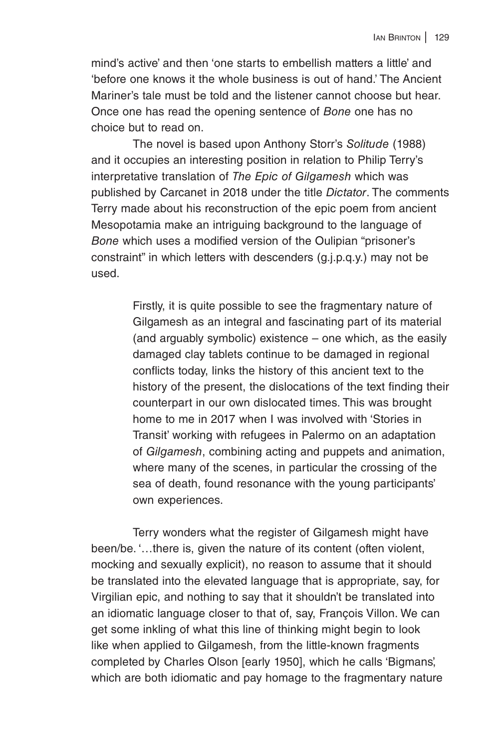mind's active' and then 'one starts to embellish matters a little' and 'before one knows it the whole business is out of hand.' The Ancient Mariner's tale must be told and the listener cannot choose but hear. Once one has read the opening sentence of *Bone* one has no choice but to read on.

The novel is based upon Anthony Storr's *Solitude* (1988) and it occupies an interesting position in relation to Philip Terry's interpretative translation of *The Epic of Gilgamesh* which was published by Carcanet in 2018 under the title *Dictator*. The comments Terry made about his reconstruction of the epic poem from ancient Mesopotamia make an intriguing background to the language of *Bone* which uses a modified version of the Oulipian "prisoner's constraint" in which letters with descenders (g.j.p.q.y.) may not be used.

> Firstly, it is quite possible to see the fragmentary nature of Gilgamesh as an integral and fascinating part of its material (and arguably symbolic) existence – one which, as the easily damaged clay tablets continue to be damaged in regional conflicts today, links the history of this ancient text to the history of the present, the dislocations of the text finding their counterpart in our own dislocated times. This was brought home to me in 2017 when I was involved with 'Stories in Transit' working with refugees in Palermo on an adaptation of *Gilgamesh*, combining acting and puppets and animation, where many of the scenes, in particular the crossing of the sea of death, found resonance with the young participants' own experiences.

Terry wonders what the register of Gilgamesh might have been/be. '…there is, given the nature of its content (often violent, mocking and sexually explicit), no reason to assume that it should be translated into the elevated language that is appropriate, say, for Virgilian epic, and nothing to say that it shouldn't be translated into an idiomatic language closer to that of, say, François Villon. We can get some inkling of what this line of thinking might begin to look like when applied to Gilgamesh, from the little-known fragments completed by Charles Olson [early 1950], which he calls 'Bigmans', which are both idiomatic and pay homage to the fragmentary nature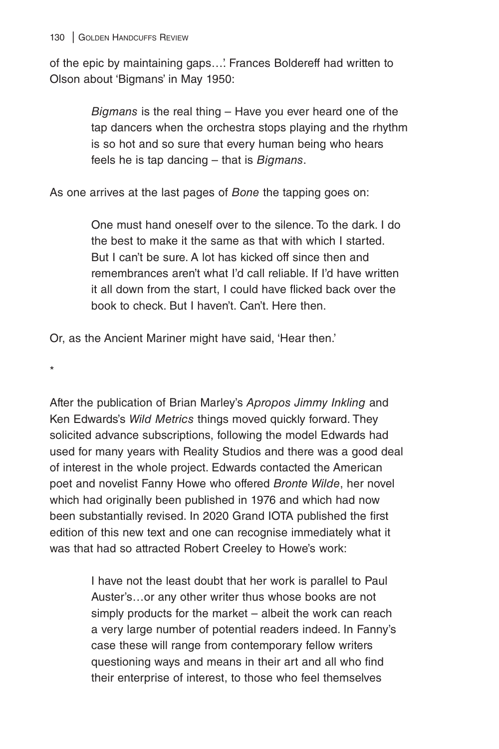of the epic by maintaining gaps...' Frances Boldereff had written to Olson about 'Bigmans' in May 1950:

> *Bigmans* is the real thing – Have you ever heard one of the tap dancers when the orchestra stops playing and the rhythm is so hot and so sure that every human being who hears feels he is tap dancing – that is *Bigmans*.

As one arrives at the last pages of *Bone* the tapping goes on:

One must hand oneself over to the silence. To the dark. I do the best to make it the same as that with which I started. But I can't be sure. A lot has kicked off since then and remembrances aren't what I'd call reliable. If I'd have written it all down from the start, I could have flicked back over the book to check. But I haven't. Can't. Here then.

Or, as the Ancient Mariner might have said, 'Hear then.'

\*

After the publication of Brian Marley's *Apropos Jimmy Inkling* and Ken Edwards's *Wild Metrics* things moved quickly forward. They solicited advance subscriptions, following the model Edwards had used for many years with Reality Studios and there was a good deal of interest in the whole project. Edwards contacted the American poet and novelist Fanny Howe who offered *Bronte Wilde*, her novel which had originally been published in 1976 and which had now been substantially revised. In 2020 Grand IOTA published the first edition of this new text and one can recognise immediately what it was that had so attracted Robert Creeley to Howe's work:

> I have not the least doubt that her work is parallel to Paul Auster's…or any other writer thus whose books are not simply products for the market – albeit the work can reach a very large number of potential readers indeed. In Fanny's case these will range from contemporary fellow writers questioning ways and means in their art and all who find their enterprise of interest, to those who feel themselves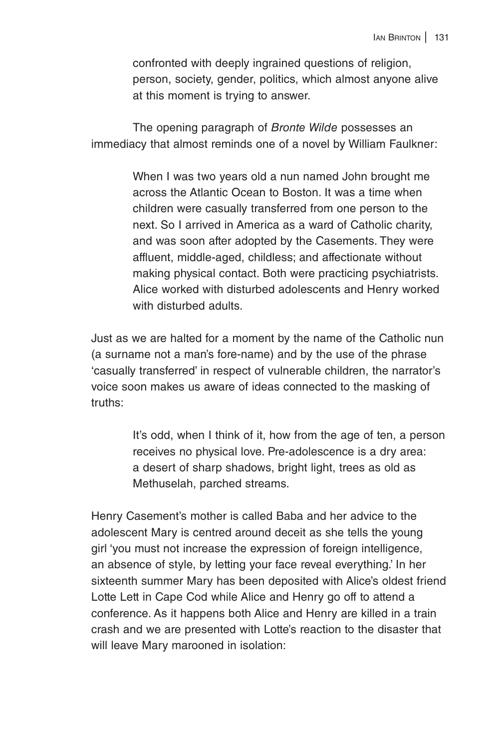confronted with deeply ingrained questions of religion, person, society, gender, politics, which almost anyone alive at this moment is trying to answer.

The opening paragraph of *Bronte Wilde* possesses an immediacy that almost reminds one of a novel by William Faulkner:

> When I was two years old a nun named John brought me across the Atlantic Ocean to Boston. It was a time when children were casually transferred from one person to the next. So I arrived in America as a ward of Catholic charity, and was soon after adopted by the Casements. They were affluent, middle-aged, childless; and affectionate without making physical contact. Both were practicing psychiatrists. Alice worked with disturbed adolescents and Henry worked with disturbed adults.

Just as we are halted for a moment by the name of the Catholic nun (a surname not a man's fore-name) and by the use of the phrase 'casually transferred' in respect of vulnerable children, the narrator's voice soon makes us aware of ideas connected to the masking of truths:

> It's odd, when I think of it, how from the age of ten, a person receives no physical love. Pre-adolescence is a dry area: a desert of sharp shadows, bright light, trees as old as Methuselah, parched streams.

Henry Casement's mother is called Baba and her advice to the adolescent Mary is centred around deceit as she tells the young girl 'you must not increase the expression of foreign intelligence, an absence of style, by letting your face reveal everything.' In her sixteenth summer Mary has been deposited with Alice's oldest friend Lotte Lett in Cape Cod while Alice and Henry go off to attend a conference. As it happens both Alice and Henry are killed in a train crash and we are presented with Lotte's reaction to the disaster that will leave Mary marooned in isolation: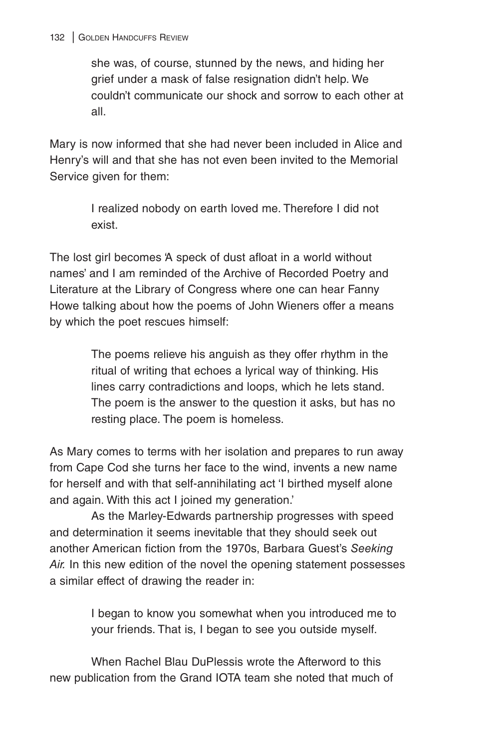## 132 | GOLDEN HANDCUFFS REVIEW

she was, of course, stunned by the news, and hiding her grief under a mask of false resignation didn't help. We couldn't communicate our shock and sorrow to each other at all.

Mary is now informed that she had never been included in Alice and Henry's will and that she has not even been invited to the Memorial Service given for them:

> I realized nobody on earth loved me. Therefore I did not exist.

The lost girl becomes 'A speck of dust afloat in a world without names' and I am reminded of the Archive of Recorded Poetry and Literature at the Library of Congress where one can hear Fanny Howe talking about how the poems of John Wieners offer a means by which the poet rescues himself:

> The poems relieve his anguish as they offer rhythm in the ritual of writing that echoes a lyrical way of thinking. His lines carry contradictions and loops, which he lets stand. The poem is the answer to the question it asks, but has no resting place. The poem is homeless.

As Mary comes to terms with her isolation and prepares to run away from Cape Cod she turns her face to the wind, invents a new name for herself and with that self-annihilating act 'I birthed myself alone and again. With this act I joined my generation.'

As the Marley-Edwards partnership progresses with speed and determination it seems inevitable that they should seek out another American fiction from the 1970s, Barbara Guest's *Seeking Air.* In this new edition of the novel the opening statement possesses a similar effect of drawing the reader in:

> I began to know you somewhat when you introduced me to your friends. That is, I began to see you outside myself.

When Rachel Blau DuPlessis wrote the Afterword to this new publication from the Grand IOTA team she noted that much of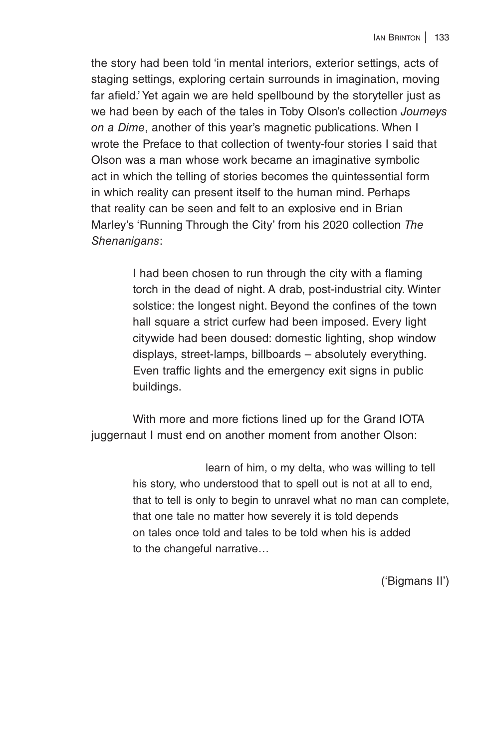the story had been told 'in mental interiors, exterior settings, acts of staging settings, exploring certain surrounds in imagination, moving far afield.' Yet again we are held spellbound by the storyteller just as we had been by each of the tales in Toby Olson's collection *Journeys on a Dime*, another of this year's magnetic publications. When I wrote the Preface to that collection of twenty-four stories I said that Olson was a man whose work became an imaginative symbolic act in which the telling of stories becomes the quintessential form in which reality can present itself to the human mind. Perhaps that reality can be seen and felt to an explosive end in Brian Marley's 'Running Through the City' from his 2020 collection *The Shenanigans*:

> I had been chosen to run through the city with a flaming torch in the dead of night. A drab, post-industrial city. Winter solstice: the longest night. Beyond the confines of the town hall square a strict curfew had been imposed. Every light citywide had been doused: domestic lighting, shop window displays, street-lamps, billboards – absolutely everything. Even traffic lights and the emergency exit signs in public buildings.

With more and more fictions lined up for the Grand IOTA juggernaut I must end on another moment from another Olson:

> learn of him, o my delta, who was willing to tell his story, who understood that to spell out is not at all to end, that to tell is only to begin to unravel what no man can complete, that one tale no matter how severely it is told depends on tales once told and tales to be told when his is added to the changeful narrative…

> > ('Bigmans II')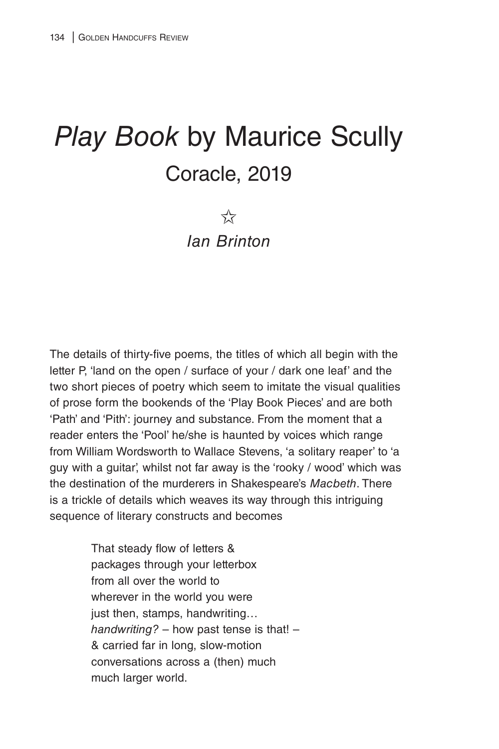## *Play Book* by Maurice Scully Coracle, 2019

 $5\frac{1}{2}$ 

*Ian Brinton*

The details of thirty-five poems, the titles of which all begin with the letter P, 'land on the open / surface of your / dark one leaf' and the two short pieces of poetry which seem to imitate the visual qualities of prose form the bookends of the 'Play Book Pieces' and are both 'Path' and 'Pith': journey and substance. From the moment that a reader enters the 'Pool' he/she is haunted by voices which range from William Wordsworth to Wallace Stevens, 'a solitary reaper' to 'a guy with a guitar', whilst not far away is the 'rooky / wood' which was the destination of the murderers in Shakespeare's *Macbeth*. There is a trickle of details which weaves its way through this intriguing sequence of literary constructs and becomes

> That steady flow of letters & packages through your letterbox from all over the world to wherever in the world you were just then, stamps, handwriting… *handwriting?* – how past tense is that! – & carried far in long, slow-motion conversations across a (then) much much larger world.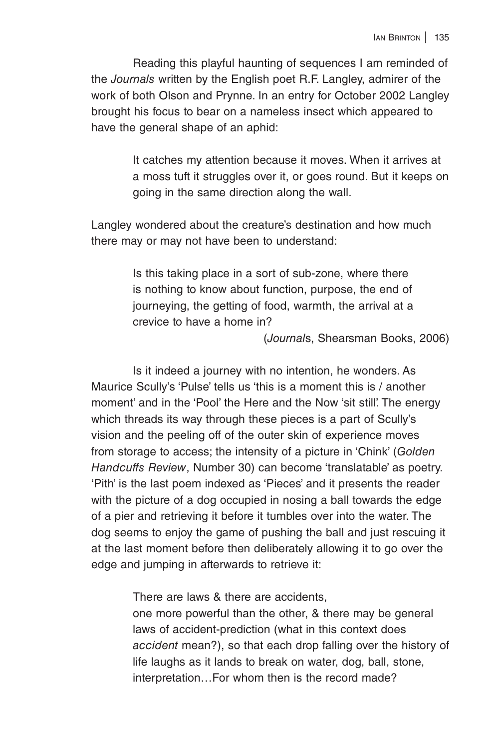Reading this playful haunting of sequences I am reminded of the *Journals* written by the English poet R.F. Langley, admirer of the work of both Olson and Prynne. In an entry for October 2002 Langley brought his focus to bear on a nameless insect which appeared to have the general shape of an aphid:

> It catches my attention because it moves. When it arrives at a moss tuft it struggles over it, or goes round. But it keeps on going in the same direction along the wall.

Langley wondered about the creature's destination and how much there may or may not have been to understand:

> Is this taking place in a sort of sub-zone, where there is nothing to know about function, purpose, the end of journeying, the getting of food, warmth, the arrival at a crevice to have a home in?

> > (*Journal*s, Shearsman Books, 2006)

Is it indeed a journey with no intention, he wonders. As Maurice Scully's 'Pulse' tells us 'this is a moment this is / another moment' and in the 'Pool' the Here and the Now 'sit still'. The energy which threads its way through these pieces is a part of Scully's vision and the peeling off of the outer skin of experience moves from storage to access; the intensity of a picture in 'Chink' (*Golden Handcuffs Review*, Number 30) can become 'translatable' as poetry. 'Pith' is the last poem indexed as 'Pieces' and it presents the reader with the picture of a dog occupied in nosing a ball towards the edge of a pier and retrieving it before it tumbles over into the water. The dog seems to enjoy the game of pushing the ball and just rescuing it at the last moment before then deliberately allowing it to go over the edge and jumping in afterwards to retrieve it:

There are laws & there are accidents,

one more powerful than the other, & there may be general laws of accident-prediction (what in this context does *accident* mean?), so that each drop falling over the history of life laughs as it lands to break on water, dog, ball, stone, interpretation…For whom then is the record made?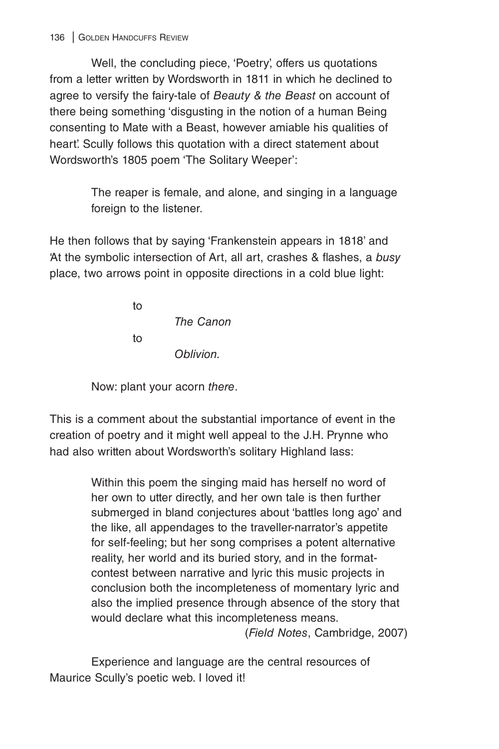Well, the concluding piece, 'Poetry', offers us quotations from a letter written by Wordsworth in 1811 in which he declined to agree to versify the fairy-tale of *Beauty & the Beast* on account of there being something 'disgusting in the notion of a human Being consenting to Mate with a Beast, however amiable his qualities of heart'. Scully follows this quotation with a direct statement about Wordsworth's 1805 poem 'The Solitary Weeper':

> The reaper is female, and alone, and singing in a language foreign to the listener.

He then follows that by saying 'Frankenstein appears in 1818' and 'At the symbolic intersection of Art, all art, crashes & flashes, a *busy* place, two arrows point in opposite directions in a cold blue light:

to the state of the state of the state of the state of the state of the state of the state of the state of the *The Canon* to *Oblivion.*

Now: plant your acorn *there*.

This is a comment about the substantial importance of event in the creation of poetry and it might well appeal to the J.H. Prynne who had also written about Wordsworth's solitary Highland lass:

> Within this poem the singing maid has herself no word of her own to utter directly, and her own tale is then further submerged in bland conjectures about 'battles long ago' and the like, all appendages to the traveller-narrator's appetite for self-feeling; but her song comprises a potent alternative reality, her world and its buried story, and in the formatcontest between narrative and lyric this music projects in conclusion both the incompleteness of momentary lyric and also the implied presence through absence of the story that would declare what this incompleteness means.

(*Field Notes*, Cambridge, 2007)

Experience and language are the central resources of Maurice Scully's poetic web. I loved it!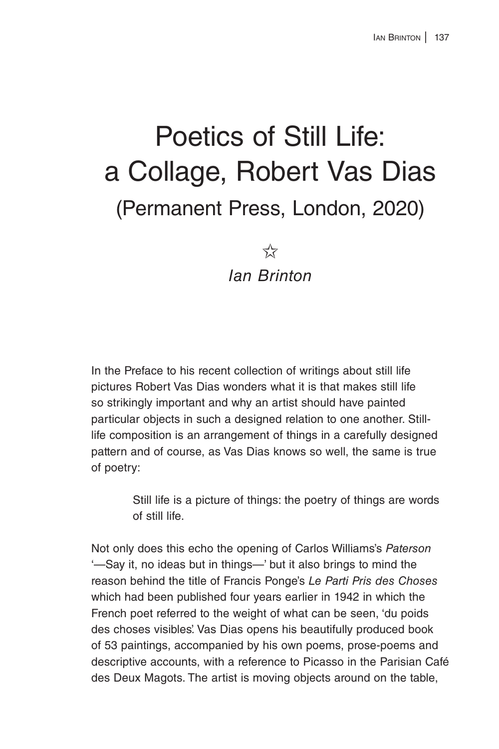## Poetics of Still Life: a Collage, Robert Vas Dias (Permanent Press, London, 2020)

 $5\frac{1}{2}$ *Ian Brinton*

In the Preface to his recent collection of writings about still life pictures Robert Vas Dias wonders what it is that makes still life so strikingly important and why an artist should have painted particular objects in such a designed relation to one another. Stilllife composition is an arrangement of things in a carefully designed pattern and of course, as Vas Dias knows so well, the same is true of poetry:

> Still life is a picture of things: the poetry of things are words of still life.

Not only does this echo the opening of Carlos Williams's *Paterson* '—Say it, no ideas but in things—' but it also brings to mind the reason behind the title of Francis Ponge's *Le Parti Pris des Choses* which had been published four years earlier in 1942 in which the French poet referred to the weight of what can be seen, 'du poids des choses visibles'. Vas Dias opens his beautifully produced book of 53 paintings, accompanied by his own poems, prose-poems and descriptive accounts, with a reference to Picasso in the Parisian Café des Deux Magots. The artist is moving objects around on the table,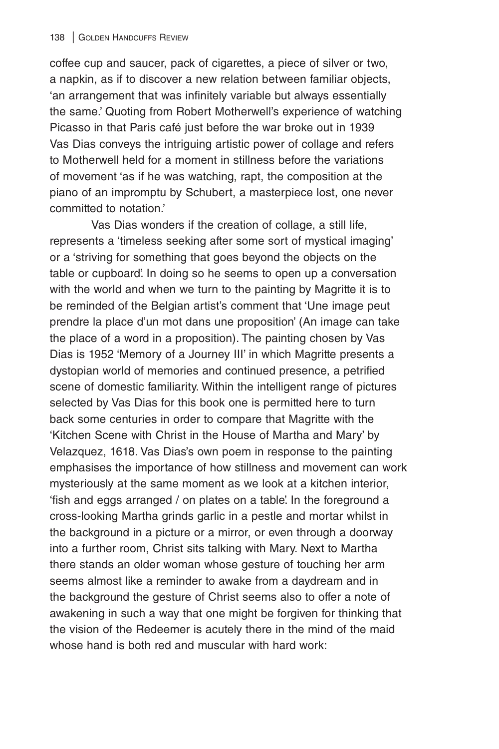coffee cup and saucer, pack of cigarettes, a piece of silver or two, a napkin, as if to discover a new relation between familiar objects, 'an arrangement that was infinitely variable but always essentially the same.' Quoting from Robert Motherwell's experience of watching Picasso in that Paris café just before the war broke out in 1939 Vas Dias conveys the intriguing artistic power of collage and refers to Motherwell held for a moment in stillness before the variations of movement 'as if he was watching, rapt, the composition at the piano of an impromptu by Schubert, a masterpiece lost, one never committed to notation.'

Vas Dias wonders if the creation of collage, a still life, represents a 'timeless seeking after some sort of mystical imaging' or a 'striving for something that goes beyond the objects on the table or cupboard'. In doing so he seems to open up a conversation with the world and when we turn to the painting by Magritte it is to be reminded of the Belgian artist's comment that 'Une image peut prendre la place d'un mot dans une proposition' (An image can take the place of a word in a proposition). The painting chosen by Vas Dias is 1952 'Memory of a Journey III' in which Magritte presents a dystopian world of memories and continued presence, a petrified scene of domestic familiarity. Within the intelligent range of pictures selected by Vas Dias for this book one is permitted here to turn back some centuries in order to compare that Magritte with the 'Kitchen Scene with Christ in the House of Martha and Mary' by Velazquez, 1618. Vas Dias's own poem in response to the painting emphasises the importance of how stillness and movement can work mysteriously at the same moment as we look at a kitchen interior, 'fish and eggs arranged / on plates on a table'. In the foreground a cross-looking Martha grinds garlic in a pestle and mortar whilst in the background in a picture or a mirror, or even through a doorway into a further room, Christ sits talking with Mary. Next to Martha there stands an older woman whose gesture of touching her arm seems almost like a reminder to awake from a daydream and in the background the gesture of Christ seems also to offer a note of awakening in such a way that one might be forgiven for thinking that the vision of the Redeemer is acutely there in the mind of the maid whose hand is both red and muscular with hard work: